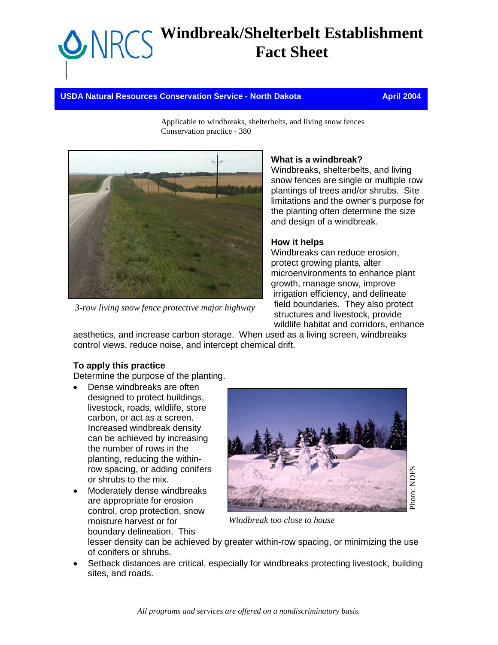# **Windbreak/Shelterbelt Establishment Fact Sheet**

**USDA Natural Resources Conservation Service - North Dakota April 2004** April 2004

Applicable to windbreaks, shelterbelts, and living snow fences Conservation practice - 380



*3-row living snow fence protective major highway*

#### **What is a windbreak?**

Windbreaks, shelterbelts, and living snow fences are single or multiple row plantings of trees and/or shrubs. Site limitations and the owner's purpose for the planting often determine the size and design of a windbreak.

### **How it helps**

Windbreaks can reduce erosion, protect growing plants, alter microenvironments to enhance plant growth, manage snow, improve irrigation efficiency, and delineate field boundaries. They also protect structures and livestock, provide wildlife habitat and corridors, enhance

aesthetics, and increase carbon storage. When used as a living screen, windbreaks control views, reduce noise, and intercept chemical drift.

### **To apply this practice**

Determine the purpose of the planting.

- Dense windbreaks are often designed to protect buildings, livestock, roads, wildlife, store carbon, or act as a screen. Increased windbreak density can be achieved by increasing the number of rows in the planting, reducing the withinrow spacing, or adding conifers or shrubs to the mix.
- Moderately dense windbreaks are appropriate for erosion control, crop protection, snow moisture harvest or for boundary delineation. This



*Windbreak too close to house* 

lesser density can be achieved by greater within-row spacing, or minimizing the use of conifers or shrubs.

• Setback distances are critical, especially for windbreaks protecting livestock, building sites, and roads.